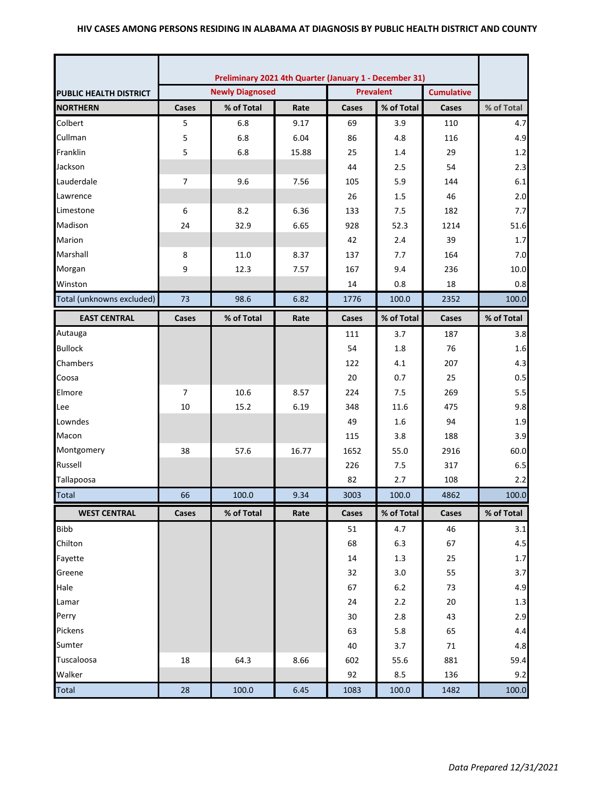|                               | Preliminary 2021 4th Quarter (January 1 - December 31) |                        |       |                  |            |                   |            |
|-------------------------------|--------------------------------------------------------|------------------------|-------|------------------|------------|-------------------|------------|
| <b>PUBLIC HEALTH DISTRICT</b> |                                                        | <b>Newly Diagnosed</b> |       | <b>Prevalent</b> |            | <b>Cumulative</b> |            |
| <b>NORTHERN</b>               | Cases                                                  | % of Total             | Rate  | Cases            | % of Total | Cases             | % of Total |
| Colbert                       | 5                                                      | 6.8                    | 9.17  | 69               | 3.9        | 110               | 4.7        |
| Cullman                       | 5                                                      | 6.8                    | 6.04  | 86               | 4.8        | 116               | 4.9        |
| Franklin                      | 5                                                      | 6.8                    | 15.88 | 25               | 1.4        | 29                | 1.2        |
| Jackson                       |                                                        |                        |       | 44               | 2.5        | 54                | 2.3        |
| Lauderdale                    | $\overline{7}$                                         | 9.6                    | 7.56  | 105              | 5.9        | 144               | 6.1        |
| Lawrence                      |                                                        |                        |       | 26               | 1.5        | 46                | 2.0        |
| Limestone                     | 6                                                      | 8.2                    | 6.36  | 133              | 7.5        | 182               | 7.7        |
| Madison                       | 24                                                     | 32.9                   | 6.65  | 928              | 52.3       | 1214              | 51.6       |
| Marion                        |                                                        |                        |       | 42               | 2.4        | 39                | 1.7        |
| Marshall                      | 8                                                      | 11.0                   | 8.37  | 137              | 7.7        | 164               | 7.0        |
| Morgan                        | 9                                                      | 12.3                   | 7.57  | 167              | 9.4        | 236               | 10.0       |
| Winston                       |                                                        |                        |       | 14               | 0.8        | 18                | 0.8        |
| Total (unknowns excluded)     | 73                                                     | 98.6                   | 6.82  | 1776             | 100.0      | 2352              | 100.0      |
| <b>EAST CENTRAL</b>           | Cases                                                  | % of Total             | Rate  | Cases            | % of Total | Cases             | % of Total |
| Autauga                       |                                                        |                        |       | 111              | 3.7        | 187               | 3.8        |
| <b>Bullock</b>                |                                                        |                        |       | 54               | 1.8        | 76                | 1.6        |
| Chambers                      |                                                        |                        |       | 122              | 4.1        | 207               | 4.3        |
| Coosa                         |                                                        |                        |       | 20               | 0.7        | 25                | 0.5        |
| Elmore                        | $\overline{7}$                                         | 10.6                   | 8.57  | 224              | 7.5        | 269               | 5.5        |
| Lee                           | 10                                                     | 15.2                   | 6.19  | 348              | 11.6       | 475               | 9.8        |
| Lowndes                       |                                                        |                        |       | 49               | 1.6        | 94                | 1.9        |
| Macon                         |                                                        |                        |       | 115              | 3.8        | 188               | 3.9        |
| Montgomery                    | 38                                                     | 57.6                   | 16.77 | 1652             | 55.0       | 2916              | 60.0       |
| Russell                       |                                                        |                        |       | 226              | 7.5        | 317               | 6.5        |
| Tallapoosa                    |                                                        |                        |       | 82               | 2.7        | 108               | 2.2        |
| <b>Total</b>                  | 66                                                     | 100.0                  | 9.34  | 3003             | 100.0      | 4862              | 100.0      |
| <b>WEST CENTRAL</b>           | Cases                                                  | % of Total             | Rate  | Cases            | % of Total | Cases             | % of Total |
| <b>Bibb</b>                   |                                                        |                        |       | 51               | 4.7        | 46                | 3.1        |
| Chilton                       |                                                        |                        |       | 68               | 6.3        | 67                | 4.5        |
| Fayette                       |                                                        |                        |       | 14               | 1.3        | 25                | $1.7\,$    |
| Greene                        |                                                        |                        |       | 32               | 3.0        | 55                | 3.7        |
| Hale                          |                                                        |                        |       | 67               | $6.2\,$    | 73                | 4.9        |
| Lamar                         |                                                        |                        |       | 24               | 2.2        | 20                | 1.3        |
| Perry                         |                                                        |                        |       | 30               | 2.8        | 43                | 2.9        |
| Pickens                       |                                                        |                        |       | 63               | 5.8        | 65                | 4.4        |
| Sumter                        |                                                        |                        |       | 40               | 3.7        | 71                | 4.8        |
| Tuscaloosa                    | 18                                                     | 64.3                   | 8.66  | 602              | 55.6       | 881               | 59.4       |
| Walker                        |                                                        |                        |       | 92               | 8.5        | 136               | 9.2        |
| <b>Total</b>                  | 28                                                     | 100.0                  | 6.45  | 1083             | 100.0      | 1482              | 100.0      |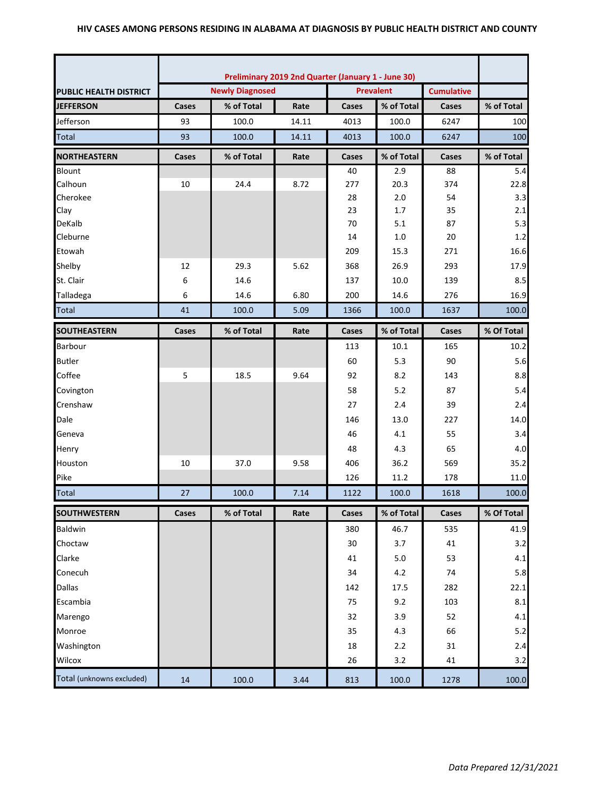|                               | Preliminary 2019 2nd Quarter (January 1 - June 30) |                        |                                       |       |            |       |            |
|-------------------------------|----------------------------------------------------|------------------------|---------------------------------------|-------|------------|-------|------------|
| <b>PUBLIC HEALTH DISTRICT</b> |                                                    | <b>Newly Diagnosed</b> | <b>Prevalent</b><br><b>Cumulative</b> |       |            |       |            |
| <b>JEFFERSON</b>              | Cases                                              | % of Total             | Rate                                  | Cases | % of Total | Cases | % of Total |
| Jefferson                     | 93                                                 | 100.0                  | 14.11                                 | 4013  | 100.0      | 6247  | 100        |
| <b>Total</b>                  | 93                                                 | 100.0                  | 14.11                                 | 4013  | 100.0      | 6247  | 100        |
| <b>NORTHEASTERN</b>           | Cases                                              | % of Total             | Rate                                  | Cases | % of Total | Cases | % of Total |
| <b>Blount</b>                 |                                                    |                        |                                       | 40    | 2.9        | 88    | 5.4        |
| Calhoun                       | 10                                                 | 24.4                   | 8.72                                  | 277   | 20.3       | 374   | 22.8       |
| Cherokee                      |                                                    |                        |                                       | 28    | 2.0        | 54    | 3.3        |
| Clay                          |                                                    |                        |                                       | 23    | 1.7        | 35    | 2.1        |
| DeKalb                        |                                                    |                        |                                       | 70    | 5.1        | 87    | 5.3        |
| Cleburne                      |                                                    |                        |                                       | 14    | 1.0        | 20    | 1.2        |
| Etowah                        |                                                    |                        |                                       | 209   | 15.3       | 271   | 16.6       |
| Shelby                        | 12                                                 | 29.3                   | 5.62                                  | 368   | 26.9       | 293   | 17.9       |
| St. Clair                     | 6                                                  | 14.6                   |                                       | 137   | 10.0       | 139   | 8.5        |
| Talladega                     | 6                                                  | 14.6                   | 6.80                                  | 200   | 14.6       | 276   | 16.9       |
| <b>Total</b>                  | 41                                                 | 100.0                  | 5.09                                  | 1366  | 100.0      | 1637  | 100.0      |
| <b>SOUTHEASTERN</b>           | Cases                                              | % of Total             | Rate                                  | Cases | % of Total | Cases | % Of Total |
| <b>Barbour</b>                |                                                    |                        |                                       | 113   | 10.1       | 165   | 10.2       |
| <b>Butler</b>                 |                                                    |                        |                                       | 60    | 5.3        | 90    | 5.6        |
| Coffee                        | 5                                                  | 18.5                   | 9.64                                  | 92    | 8.2        | 143   | 8.8        |
| Covington                     |                                                    |                        |                                       | 58    | 5.2        | 87    | 5.4        |
| Crenshaw                      |                                                    |                        |                                       | 27    | 2.4        | 39    | 2.4        |
| Dale                          |                                                    |                        |                                       | 146   | 13.0       | 227   | 14.0       |
| Geneva                        |                                                    |                        |                                       | 46    | 4.1        | 55    | 3.4        |
| Henry                         |                                                    |                        |                                       | 48    | 4.3        | 65    | 4.0        |
| Houston                       | 10                                                 | 37.0                   | 9.58                                  | 406   | 36.2       | 569   | 35.2       |
| Pike                          |                                                    |                        |                                       | 126   | 11.2       | 178   | 11.0       |
| Total                         | 27                                                 | 100.0                  | 7.14                                  | 1122  | 100.0      | 1618  | 100.0      |
| <b>SOUTHWESTERN</b>           | Cases                                              | % of Total             | Rate                                  | Cases | % of Total | Cases | % Of Total |
| <b>Baldwin</b>                |                                                    |                        |                                       | 380   | 46.7       | 535   | 41.9       |
| Choctaw                       |                                                    |                        |                                       | 30    | 3.7        | 41    | 3.2        |
| Clarke                        |                                                    |                        |                                       | 41    | 5.0        | 53    | 4.1        |
| Conecuh                       |                                                    |                        |                                       | 34    | 4.2        | 74    | 5.8        |
| <b>Dallas</b>                 |                                                    |                        |                                       | 142   | 17.5       | 282   | 22.1       |
| Escambia                      |                                                    |                        |                                       | 75    | 9.2        | 103   | 8.1        |
| Marengo                       |                                                    |                        |                                       | 32    | 3.9        | 52    | 4.1        |
| Monroe                        |                                                    |                        |                                       | 35    | 4.3        | 66    | 5.2        |
| Washington                    |                                                    |                        |                                       | 18    | 2.2        | 31    | 2.4        |
| Wilcox                        |                                                    |                        |                                       | 26    | 3.2        | 41    | 3.2        |
| Total (unknowns excluded)     | 14                                                 | 100.0                  | 3.44                                  | 813   | 100.0      | 1278  | 100.0      |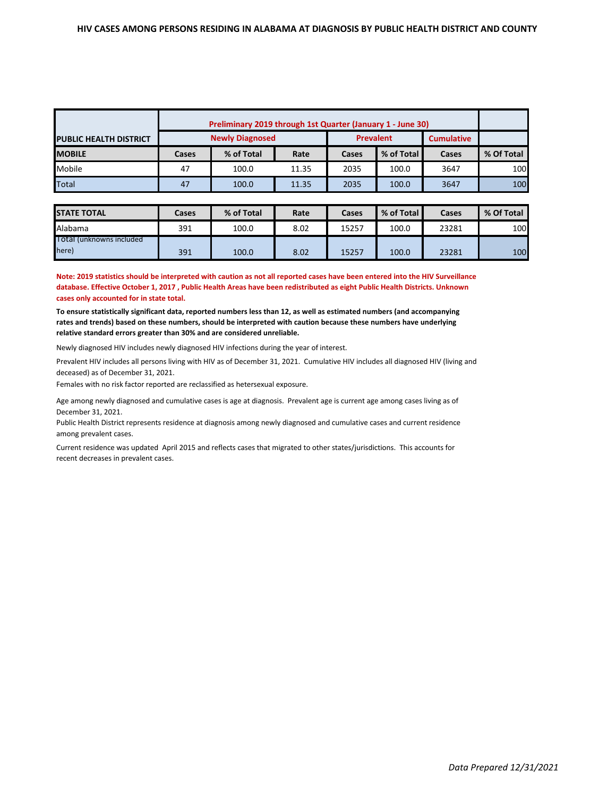|                               | Preliminary 2019 through 1st Quarter (January 1 - June 30) |                        |       |                  |            |                   |            |
|-------------------------------|------------------------------------------------------------|------------------------|-------|------------------|------------|-------------------|------------|
| <b>PUBLIC HEALTH DISTRICT</b> |                                                            | <b>Newly Diagnosed</b> |       | <b>Prevalent</b> |            | <b>Cumulative</b> |            |
| <b>MOBILE</b>                 | Cases                                                      | % of Total             | Rate  | Cases            | % of Total | Cases             | % Of Total |
| Mobile                        | 47                                                         | 100.0                  | 11.35 | 2035             | 100.0      | 3647              | 100        |
| Total                         | 47                                                         | 100.0                  | 11.35 | 2035             | 100.0      | 3647              | 100        |

| <b>STATE TOTAL</b>                | Cases | % of Total | Rate | Cases | % of Total | Cases | % Of Total |
|-----------------------------------|-------|------------|------|-------|------------|-------|------------|
| Alabama                           | 391   | 100.0      | 8.02 | 15257 | 100.0      | 23281 | 100        |
| Total (unknowns included<br>here) | 391   | 100.0      | 8.02 | 15257 | 100.0      | 23281 | 100        |

**Note: 2019 statistics should be interpreted with caution as not all reported cases have been entered into the HIV Surveillance database. Effective October 1, 2017 , Public Health Areas have been redistributed as eight Public Health Districts. Unknown cases only accounted for in state total.**

**To ensure statistically significant data, reported numbers less than 12, as well as estimated numbers (and accompanying rates and trends) based on these numbers, should be interpreted with caution because these numbers have underlying relative standard errors greater than 30% and are considered unreliable.**

Newly diagnosed HIV includes newly diagnosed HIV infections during the year of interest.

Prevalent HIV includes all persons living with HIV as of December 31, 2021. Cumulative HIV includes all diagnosed HIV (living and deceased) as of December 31, 2021.

Females with no risk factor reported are reclassified as hetersexual exposure.

Age among newly diagnosed and cumulative cases is age at diagnosis. Prevalent age is current age among cases living as of December 31, 2021.

Public Health District represents residence at diagnosis among newly diagnosed and cumulative cases and current residence among prevalent cases.

Current residence was updated April 2015 and reflects cases that migrated to other states/jurisdictions. This accounts for recent decreases in prevalent cases.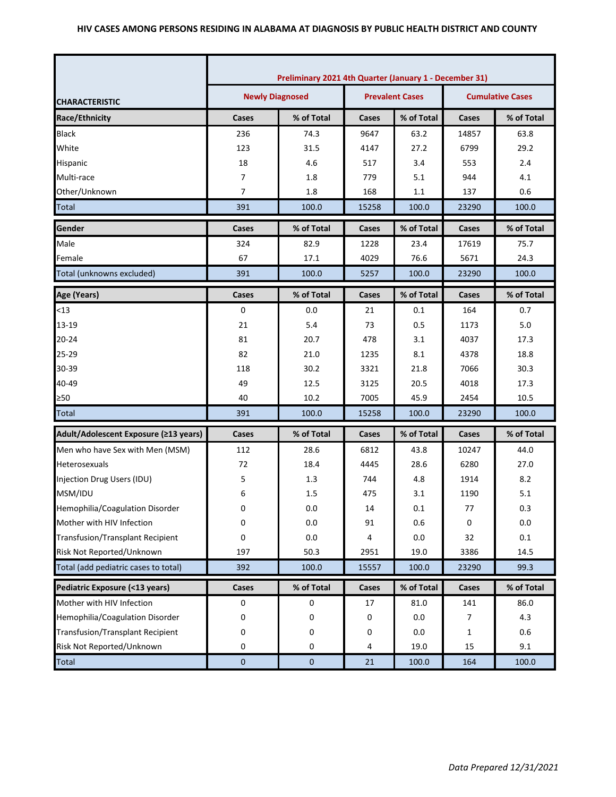|                                         | Preliminary 2021 4th Quarter (January 1 - December 31) |            |                        |            |                         |            |  |
|-----------------------------------------|--------------------------------------------------------|------------|------------------------|------------|-------------------------|------------|--|
| <b>CHARACTERISTIC</b>                   | <b>Newly Diagnosed</b>                                 |            | <b>Prevalent Cases</b> |            | <b>Cumulative Cases</b> |            |  |
| Race/Ethnicity                          | Cases                                                  | % of Total | Cases                  | % of Total | Cases                   | % of Total |  |
| <b>Black</b>                            | 236                                                    | 74.3       | 9647                   | 63.2       | 14857                   | 63.8       |  |
| White                                   | 123                                                    | 31.5       | 4147                   | 27.2       | 6799                    | 29.2       |  |
| Hispanic                                | 18                                                     | 4.6        | 517                    | 3.4        | 553                     | 2.4        |  |
| Multi-race                              | $\overline{7}$                                         | 1.8        | 779                    | 5.1        | 944                     | 4.1        |  |
| Other/Unknown                           | $\overline{7}$                                         | 1.8        | 168                    | 1.1        | 137                     | 0.6        |  |
| <b>Total</b>                            | 391                                                    | 100.0      | 15258                  | 100.0      | 23290                   | 100.0      |  |
| Gender                                  | Cases                                                  | % of Total | Cases                  | % of Total | Cases                   | % of Total |  |
| Male                                    | 324                                                    | 82.9       | 1228                   | 23.4       | 17619                   | 75.7       |  |
| Female                                  | 67                                                     | 17.1       | 4029                   | 76.6       | 5671                    | 24.3       |  |
| Total (unknowns excluded)               | 391                                                    | 100.0      | 5257                   | 100.0      | 23290                   | 100.0      |  |
| Age (Years)                             | Cases                                                  | % of Total | Cases                  | % of Total | Cases                   | % of Total |  |
| $<$ 13                                  | 0                                                      | 0.0        | 21                     | 0.1        | 164                     | 0.7        |  |
| 13-19                                   | 21                                                     | 5.4        | 73                     | 0.5        | 1173                    | 5.0        |  |
| $20 - 24$                               | 81                                                     | 20.7       | 478                    | 3.1        | 4037                    | 17.3       |  |
| 25-29                                   | 82                                                     | 21.0       | 1235                   | 8.1        | 4378                    | 18.8       |  |
| 30-39                                   | 118                                                    | 30.2       | 3321                   | 21.8       | 7066                    | 30.3       |  |
| 40-49                                   | 49                                                     | 12.5       | 3125                   | 20.5       | 4018                    | 17.3       |  |
| ≥50                                     | 40                                                     | 10.2       | 7005                   | 45.9       | 2454                    | 10.5       |  |
| <b>Total</b>                            | 391                                                    | 100.0      | 15258                  | 100.0      | 23290                   | 100.0      |  |
| Adult/Adolescent Exposure (≥13 years)   | Cases                                                  | % of Total | Cases                  | % of Total | Cases                   | % of Total |  |
| Men who have Sex with Men (MSM)         | 112                                                    | 28.6       | 6812                   | 43.8       | 10247                   | 44.0       |  |
| Heterosexuals                           | 72                                                     | 18.4       | 4445                   | 28.6       | 6280                    | 27.0       |  |
| Injection Drug Users (IDU)              | 5                                                      | 1.3        | 744                    | 4.8        | 1914                    | 8.2        |  |
| MSM/IDU                                 | 6                                                      | 1.5        | 475                    | 3.1        | 1190                    | 5.1        |  |
| Hemophilia/Coagulation Disorder         | U                                                      | $0.0\,$    | 14                     | $0.1\,$    | 77                      | 0.3        |  |
| Mother with HIV Infection               | 0                                                      | 0.0        | 91                     | 0.6        | 0                       | 0.0        |  |
| <b>Transfusion/Transplant Recipient</b> | 0                                                      | $0.0\,$    | 4                      | 0.0        | 32                      | $0.1\,$    |  |
| Risk Not Reported/Unknown               | 197                                                    | 50.3       | 2951                   | 19.0       | 3386                    | 14.5       |  |
| Total (add pediatric cases to total)    | 392                                                    | 100.0      | 15557                  | 100.0      | 23290                   | 99.3       |  |
| Pediatric Exposure (<13 years)          | Cases                                                  | % of Total | Cases                  | % of Total | Cases                   | % of Total |  |
| Mother with HIV Infection               | 0                                                      | 0          | 17                     | 81.0       | 141                     | 86.0       |  |
| Hemophilia/Coagulation Disorder         | 0                                                      | 0          | 0                      | 0.0        | 7                       | 4.3        |  |
| Transfusion/Transplant Recipient        | 0                                                      | 0          | 0                      | 0.0        | 1                       | 0.6        |  |
| Risk Not Reported/Unknown               | 0                                                      | 0          | 4                      | 19.0       | 15                      | 9.1        |  |
| Total                                   | $\pmb{0}$                                              | $\pmb{0}$  | 21                     | 100.0      | 164                     | 100.0      |  |